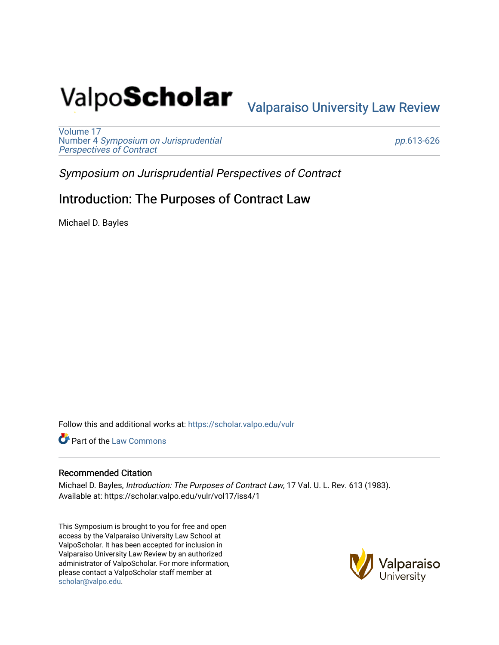# Valpo**Scholar** <sub>Valparaiso University Law Review</sub>

[Volume 17](https://scholar.valpo.edu/vulr/vol17) Number 4 [Symposium on Jurisprudential](https://scholar.valpo.edu/vulr/vol17/iss4)  [Perspectives of Contract](https://scholar.valpo.edu/vulr/vol17/iss4)

pp.[613-626](https://scholar.valpo.edu/vulr/vol17/iss4/1) 

Symposium on Jurisprudential Perspectives of Contract

## Introduction: The Purposes of Contract Law

Michael D. Bayles

Follow this and additional works at: [https://scholar.valpo.edu/vulr](https://scholar.valpo.edu/vulr?utm_source=scholar.valpo.edu%2Fvulr%2Fvol17%2Fiss4%2F1&utm_medium=PDF&utm_campaign=PDFCoverPages)

**Part of the [Law Commons](http://network.bepress.com/hgg/discipline/578?utm_source=scholar.valpo.edu%2Fvulr%2Fvol17%2Fiss4%2F1&utm_medium=PDF&utm_campaign=PDFCoverPages)** 

#### Recommended Citation

Michael D. Bayles, Introduction: The Purposes of Contract Law, 17 Val. U. L. Rev. 613 (1983). Available at: https://scholar.valpo.edu/vulr/vol17/iss4/1

This Symposium is brought to you for free and open access by the Valparaiso University Law School at ValpoScholar. It has been accepted for inclusion in Valparaiso University Law Review by an authorized administrator of ValpoScholar. For more information, please contact a ValpoScholar staff member at [scholar@valpo.edu](mailto:scholar@valpo.edu).

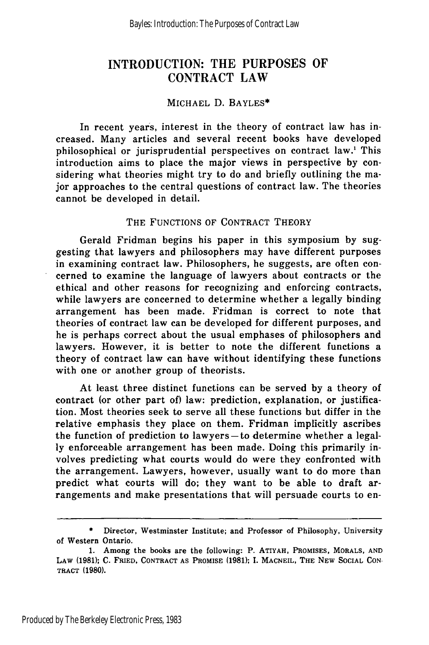### **INTRODUCTION:** THE **PURPOSES** OF CONTRACT LAW

#### MICHAEL D. BAYLES\*

In recent years, interest in the theory of contract law has increased. Many articles and several recent books have developed philosophical or jurisprudential perspectives on contract law.1 This introduction aims to place the major views in perspective by considering what theories might try to do and briefly outlining the major approaches to the central questions of contract law. The theories cannot be developed in detail.

#### THE FUNCTIONS OF CONTRACT THEORY

Gerald Fridman begins his paper in this symposium by suggesting that lawyers and philosophers may have different purposes in examining contract law. Philosophers, he suggests, are often concerned to examine the language of lawyers about contracts or the ethical and other reasons for recognizing and enforcing contracts, while lawyers are concerned to determine whether a legally binding arrangement has been made. Fridman is correct to note that theories of contract law can be developed for different purposes, and he is perhaps correct about the usual emphases of philosophers and lawyers. However, it is better to note the different functions a theory of contract law can have without identifying these functions with one or another group of theorists.

At least three distinct functions can be served by a theory of contract (or other part of) law: prediction, explanation, or justification. Most theories seek to serve all these functions but differ in the relative emphasis they place on them. Fridman implicitly ascribes the function of prediction to lawyers **-to** determine whether a legally enforceable arrangement has been made. Doing this primarily involves predicting what courts would do were they confronted with the arrangement. Lawyers, however, usually want to do more than predict what courts will do; they want to be able to draft arrangements and make presentations that will persuade courts to en-

Director, Westminster Institute; and Professor of Philosophy, University of Western Ontario.

<sup>1.</sup> Among the books are the following: P. ATIYAH, PROMISES, MORALS, **AND** LAW **(1981); C.** FRIED, **CONTRACT AS** PROMISE **(1981);** I. MACNEIL, THE **NEW** SOCIAL CON-TRACT **(1980).**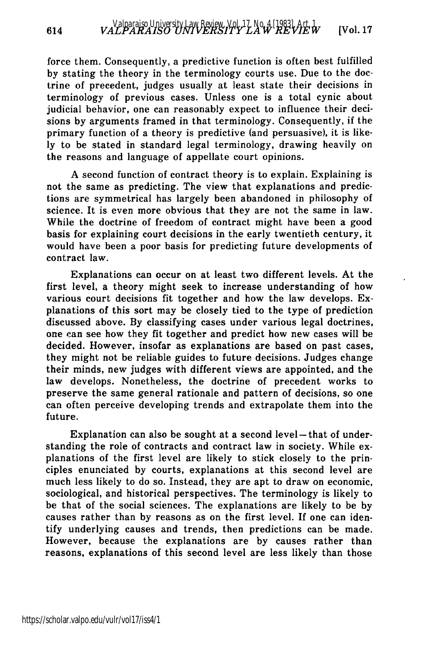force them. Consequently, a predictive function is often best fulfilled by stating the theory in the terminology courts use. Due to the doctrine of precedent, judges usually at least state their decisions in terminology of previous cases. Unless one is a total cynic about judicial behavior, one can reasonably expect to influence their decisions by arguments framed in that terminology. Consequently, if the primary function of a theory is predictive (and persuasive), it is likely to be stated in standard legal terminology, drawing heavily on the reasons and language of appellate court opinions.

A second function of contract theory is to explain. Explaining is not the same as predicting. The view that explanations and predictions are symmetrical has largely been abandoned in philosophy of science. It is even more obvious that they are not the same in law. While the doctrine of freedom of contract might have been a good basis for explaining court decisions in the early twentieth century, it would have been a poor basis for predicting future developments of contract law.

Explanations can occur on at least two different levels. At the first level, a theory might seek to increase understanding of how various court decisions fit together and how the law develops. Explanations of this sort may be closely tied to the type of prediction discussed above. By classifying cases under various legal doctrines, one can see how they fit together and predict how new cases will be decided. However, insofar as explanations are based on past cases, they might not be reliable guides to future decisions. Judges change their minds, new judges with different views are appointed, and the law develops. Nonetheless, the doctrine of precedent works to preserve the same general rationale and pattern of decisions, so one can often perceive developing trends and extrapolate them into the future.

Explanation can also be sought at a second level-that of understanding the role of contracts and contract law in society. While explanations of the first level are likely to stick closely to the principles enunciated by courts, explanations at this second level are much less likely to do so. Instead, they are apt to draw on economic, sociological, and historical perspectives. The terminology is likely to be that of the social sciences. The explanations are likely to be by causes rather than by reasons as on the first level. If one can identify underlying causes and trends, then predictions can be made. However, because the explanations are by causes rather than reasons, explanations of this second level are less likely than those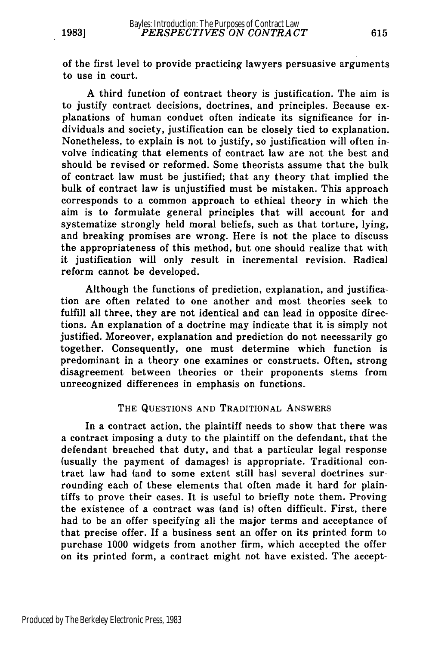of the first level to provide practicing lawyers persuasive arguments to use in court.

A third function of contract theory is justification. The aim is to justify contract decisions, doctrines, and principles. Because explanations of human conduct often indicate its significance for individuals and society, justification can be closely tied to explanation. Nonetheless, to explain is not to justify, so justification will often involve indicating that elements of contract law are not the best and should be revised or reformed. Some theorists assume that the bulk of contract law must be justified; that any theory that implied the bulk of contract law is unjustified must be mistaken. This approach corresponds to a common approach to ethical theory in which the aim is to formulate general principles that will account for and systematize strongly held moral beliefs, such as that torture, lying, and breaking promises are wrong. Here is not the place to discuss the appropriateness of this method, but one should realize that with it justification will only result in incremental revision. Radical reform cannot be developed.

Although the functions of prediction, explanation, and justification are often related to one another and most theories seek to fulfill all three, they are not identical and can lead in opposite directions. An explanation of a doctrine may indicate that it is simply not justified. Moreover, explanation and prediction do not necessarily go together. Consequently, one must determine which function is predominant in a theory one examines or constructs. Often, strong disagreement between theories or their proponents stems from unrecognized differences in emphasis on functions.

#### THE QUESTIONS AND TRADITIONAL ANSWERS

In a contract action, the plaintiff needs to show that there was a contract imposing a duty to the plaintiff on the defendant, that the defendant breached that duty, and that a particular legal response (usually the payment of damages) is appropriate. Traditional contract law had (and to some extent still has) several doctrines surrounding each of these elements that often made it hard for plaintiffs to prove their cases. It is useful to briefly note them. Proving the existence of a contract was (and is) often difficult. First, there had to be an offer specifying all the major terms and acceptance of that precise offer. If a business sent an offer on its printed form to purchase 1000 widgets from another firm, which accepted the offer on its printed form, a contract might not have existed. The accept-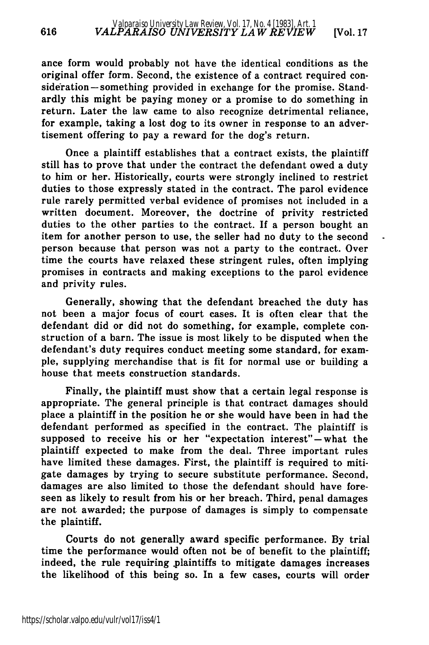ance form would probably not have the identical conditions as the original offer form. Second, the existence of a contract required consideration – something provided in exchange for the promise. Standardly this might be paying money or a promise to do something in return. Later the law came to also recognize detrimental reliance, for example, taking a lost dog to its owner in response to an advertisement offering to pay a reward for the dog's return.

Once a plaintiff establishes that a contract exists, the plaintiff still has to prove that under the contract the defendant owed a duty to him or her. Historically, courts were strongly inclined to restrict duties to those expressly stated in the contract. The parol evidence rule rarely permitted verbal evidence of promises not included in a written document. Moreover, the doctrine of privity restricted duties to the other parties to the contract. If a person bought an item for another person to use, the seller had no duty to the second person because that person was not a party to the contract. Over time the courts have relaxed these stringent rules, often implying promises in contracts and making exceptions to the parol evidence and privity rules.

Generally, showing that the defendant breached the duty has not been a major focus of court cases. It is often clear that the defendant did or did not do something, for example, complete construction of a barn. The issue is most likely to be disputed when the defendant's duty requires conduct meeting some standard, for example, supplying merchandise that is fit for normal use or building a house that meets construction standards.

Finally, the plaintiff must show that a certain legal response is appropriate. The general principle is that contract damages should place a plaintiff in the position he or she would have been in had the defendant performed as specified in the contract. The plaintiff is supposed to receive his or her "expectation interest" **-** what the plaintiff expected to make from the deal. Three important rules have limited these damages. First, the plaintiff is required to mitigate damages by trying to secure substitute performance. Second, damages are also limited to those the defendant should have foreseen as likely to result from his or her breach. Third, penal damages are not awarded; the purpose of damages is simply to compensate the plaintiff.

Courts do not generally award specific performance. By trial time the performance would often not be of benefit to the plaintiff; indeed, the rule requiring .plaintiffs to mitigate damages increases the likelihood of this being so. In a few cases, courts will order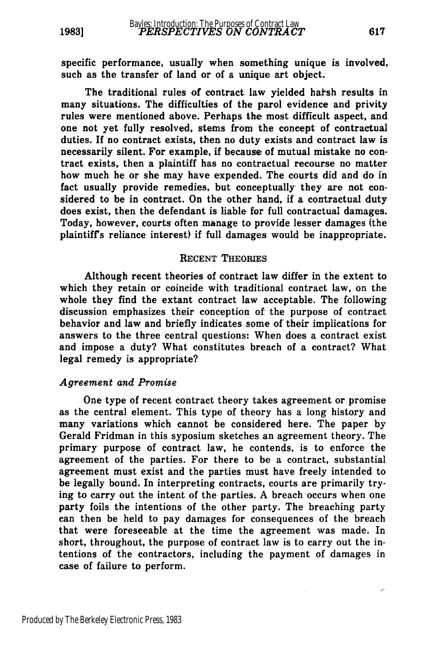specific performance, usually when something unique is involved, such as the transfer of land or of a unique art object.

The traditional rules of contract law yielded harsh results in many situations. The difficulties of the parol evidence and privity rules were mentioned above. Perhaps the most difficult aspect, and one not yet fully resolved, stems from the concept of contractual duties. **If** no contract exists, then no duty exists and contract law is necessarily silent. For example, if because of mutual mistake no contract exists, then a plaintiff has no contractual recourse no matter how much he or she may have expended. The courts did and do in fact usually provide remedies, but conceptually they are not considered to be in contract. On the other hand, if a contractual duty does exist, then the defendant is liable for full contractual damages. Today, however, courts often manage to provide lesser damages (the plaintiff's reliance interest) if full damages would be inappropriate.

#### **RECENT'** THEORIES

Although recent theories of contract law differ in the extent to which they retain or coincide with traditional contract law, on the whole they find the extant contract law acceptable. The following discussion emphasizes their conception of the purpose of contract behavior and law and briefly indicates some of' their implications for answers to the three central questions: When does a contract exist and impose a duty? What constitutes breach of a contract? What legal remedy is appropriate?

#### *Agreement and Promise*

One type of recent contract theory takes agreement or promise as the central element. This type of theory has a long history and many variations which cannot be considered here. The paper **by** Gerald Fridman in this syposium sketches an agreement theory. The primary purpose of contract law, he contends, is to enforce the agreement of the parties. For there to be a contract, substantial agreement must exist and the parties must have freely intended to be legally bound. In interpreting contracts, courts are primarily trying to carry out the intent of the parties. **A** breach occurs when one party foils the intentions of the other party. The breaching party can then be held to pay damages for consequences of the breach that were foreseeable at the time the agreement was made. In short, throughout, the purpose of contract law is to carry out the intentions of the contractors, including the payment of damages in case of failure to perform.

 $\mathcal{F}^{\prime}$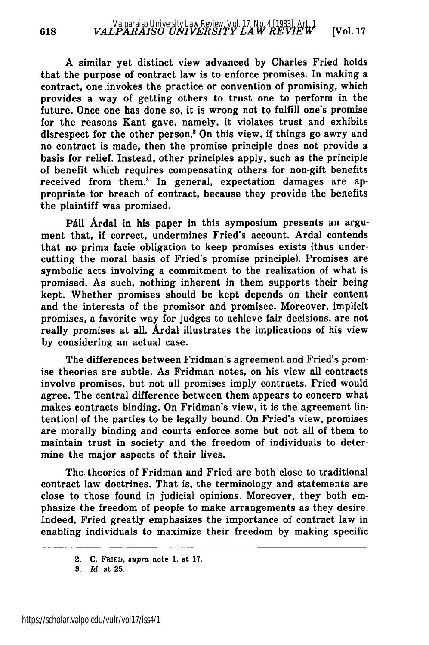A similar yet distinct view advanced by Charles Fried holds that the purpose of contract law is to enforce promises. In making a contract, one .invokes the practice or convention of promising, which provides a way of getting others to trust one to perform in the future. Once one has done so, it is wrong not to fulfill one's promise for the reasons Kant gave, namely, it violates trust and exhibits disrespect for the other person.' On this view, if things go awry and no contract is made, then the promise principle does not provide a basis for relief. Instead, other principles apply, such as the principle of benefit which requires compensating others for non-gift benefits received from them.<sup>3</sup> In general, expectation damages are appropriate for breach of contract, because they provide the benefits the plaintiff was promised.

Páll Árdal in his paper in this symposium presents an argument that, if correct, undermines Fried's account. Ardal contends that no prima facie obligation to keep promises exists (thus undercutting the moral basis of Fried's promise principle). Promises are symbolic acts involving a commitment to the realization of what is promised. As such, nothing inherent in them supports their being kept. Whether promises should be kept depends on their content and the interests of the promisor and promisee. Moreover, implicit promises, a favorite way for judges to achieve fair decisions, are not really promises at all. Ardal illustrates the implications of his view by considering an actual case.

The differences between Fridman's agreement and Fried's promise theories are subtle. As Fridman notes, on his view all contracts involve promises, but not all promises imply contracts. Fried would agree. The central difference between them appears to concern what makes contracts binding. On Fridman's view, it is the agreement (intention) of the parties to be legally bound. On Fried's view, promises are morally binding and courts enforce some but not all of them to maintain trust in society and the freedom of individuals to determine the major aspects of their lives.

The theories of Fridman and Fried are both close to traditional contract law doctrines. That is, the terminology and statements are close to those found in judicial opinions. Moreover, they both emphasize the freedom of people to make arrangements as they desire. Indeed, Fried greatly emphasizes the importance of contract law in enabling individuals to maximize their freedom by making specific

<sup>2.</sup> **C. FRIED,** *supra* note 1, at **17.**

**<sup>3.</sup>** *Id.* at **25.**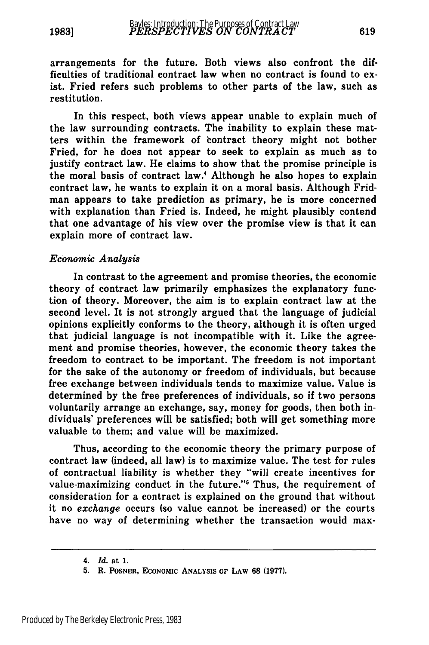arrangements for the future. Both views also confront the difficulties of traditional contract law when no contract is found to exist. Fried refers such problems to other parts of the law, such as restitution.

In this respect, both views appear unable to explain much of the law surrounding contracts. The inability to explain these matters within the framework of contract theory might not bother Fried, for he does not appear to seek to explain as much as to justify contract law. He claims to show that the promise principle is the moral basis of contract law.' Although he also hopes to explain contract law, he wants to explain it on a moral basis. Although Fridman appears to take prediction as primary, he is more concerned with explanation than Fried is. Indeed, he might plausibly contend that one advantage of his view over the promise view is that it can explain more of contract law.

#### *Economic Analysis*

In contrast to the agreement and promise theories, the economic theory of contract law primarily emphasizes the explanatory function of theory. Moreover, the aim is to explain contract law at the second level. It is not strongly argued that the language of judicial opinions explicitly conforms to the theory, although it is often urged that judicial language is not incompatible with it. Like the agreement and promise theories, however, the economic theory takes the freedom to contract to be important. The freedom is not important for the sake of the autonomy or freedom of individuals, but because free exchange between individuals tends to maximize value. Value is determined by the free preferences of individuals, so if two persons voluntarily arrange an exchange, say, money for goods, then both individuals' preferences will be satisfied; both will get something more valuable to them; and value will be maximized.

Thus, according to the economic theory the primary purpose of contract law (indeed, all law) is to maximize value. The test for rules of contractual liability is whether they "will create incentives for value-maximizing conduct in the future."<sup>5</sup> Thus, the requirement of consideration for a contract is explained on the ground that without it no *exchange* occurs (so value cannot be increased) or the courts have no way of determining whether the transaction would max-

<sup>4.</sup> *Id.* at **1.**

**<sup>5.</sup>** R. **POSNER, ECONOMIC ANALYSIS OF LAW 68 (1977).**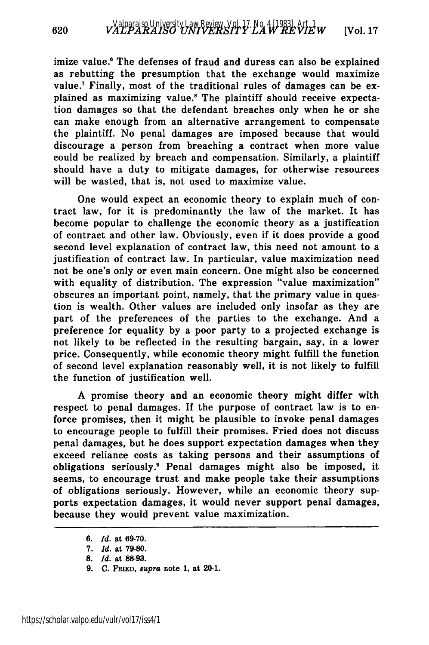imize value.<sup>6</sup> The defenses of fraud and duress can also be explained as rebutting the presumption that the exchange would maximize value.' Finally, most of the traditional rules of damages can be explained as maximizing value.8 The plaintiff should receive expectation damages so that the defendant breaches only when he or she can make enough from an alternative arrangement to compensate the plaintiff. No penal damages are imposed because that would discourage a person from breaching a contract when more value could be realized by breach and compensation. Similarly, a plaintiff should have a duty to mitigate damages, for otherwise resources will be wasted, that is, not used to maximize value.

One would expect an economic theory to explain much of contract law, for it is predominantly the law of the market. It has become popular to challenge the economic theory as a justification of contract and other law. Obviously, even if it does provide a good second level explanation of contract law, this need not amount to a justification of contract law. In particular, value maximization need not be one's only or even main concern. One might also be concerned with equality of distribution. The expression "value maximization" obscures an important point, namely, that the primary value in question is wealth. Other values are included only insofar as they are part of the preferences of the parties to the exchange. And a preference for equality by a poor party to a projected exchange is not likely to be reflected in the resulting bargain, say, in a lower price. Consequently, while economic theory might fulfill the function of second level explanation reasonably well, it is not likely to fulfill the function of justification well.

A promise theory and an economic theory might differ with respect to penal damages. If the purpose of contract law is to enforce promises, then it might be plausible to invoke penal damages to encourage people to fulfill their promises. Fried does not discuss penal damages, but he does support expectation damages when they exceed reliance costs as taking persons and their assumptions of obligations seriously.9 Penal damages might also be imposed, it seems, to encourage trust and make people take their assumptions of obligations seriously. However, while an economic theory supports expectation damages, it would never support penal damages, because they would prevent value maximization.

**9. C. FRIED, supra** note **1,** at 20-1.

*<sup>6.</sup> Id.* at **69-70.**

*<sup>7.</sup> Id.* at **79-80.**

**<sup>8.</sup>** *Id.* at **88-93.**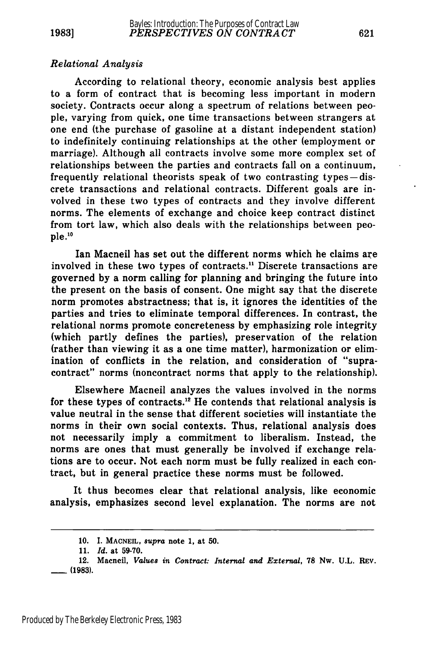**1983]**

#### *Relational Analysis*

According to relational theory, economic analysis best applies to a form of contract that is becoming less important in modern society. Contracts occur along a spectrum of relations between people, varying from quick, one time transactions between strangers at one end (the purchase of gasoline at a distant independent station) to indefinitely continuing relationships at the other (employment or marriage). Although all contracts involve some more complex set of relationships between the parties and contracts fall on a continuum, frequently relational theorists speak of two contrasting types-discrete transactions and relational contracts. Different goals are involved in these two types of contracts and they involve different norms. The elements of exchange and choice keep contract distinct from tort law, which also deals with the relationships between people.10

Ian Macneil has set out the different norms which he claims are involved in these two types of contracts." Discrete transactions are governed **by** a norm calling for planning and bringing the future into the present on the basis of consent. One might say that the discrete norm promotes abstractness; that is, it ignores the identities of the parties and tries to eliminate temporal differences. In contrast, the relational norms promote concreteness **by** emphasizing role integrity (which partly defines the parties), preservation of the relation (rather than viewing it as a one time matter), harmonization or elimination of conflicts in the relation, and consideration of "supracontract" norms (noncontract norms that apply to the relationship).

Elsewhere Macneil analyzes the values involved in the norms for these types of contracts."2 He contends that relational analysis is value neutral in the sense that different societies will instantiate the norms in their own social contexts. Thus, relational analysis does not necessarily imply a commitment to liberalism. Instead, the norms are ones that must generally be involved if exchange relations are to occur. Not each norm must be fully realized in each contract, but in general practice these norms must be followed.

It thus becomes clear that relational analysis, like economic analysis, emphasizes second level explanation. The norms are not

**<sup>10.</sup>** . **MACNEIL,** *supra* note 1, at **50.**

**<sup>11.</sup>** *Id.* at **59-70.**

<sup>12.</sup> Macneil, *Values in Contract- Internal and External,* **78** Nw. **U.L.** REV. **- (1983).**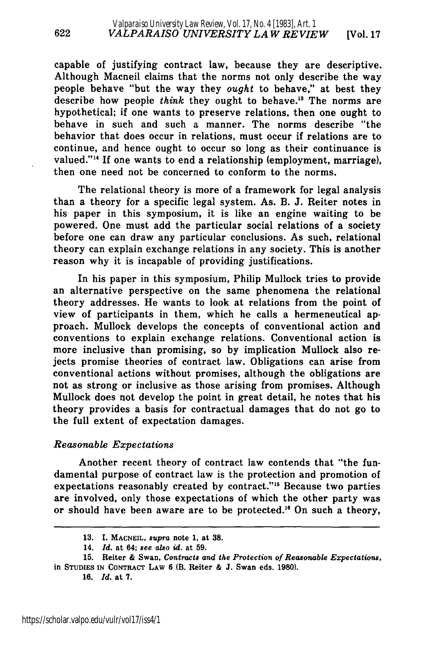capable of justifying contract law, because they are descriptive. Although Macneil claims that the norms not only describe the way people behave "but the way they *ought* to behave," at best they describe how people *think* they ought to behave.<sup>13</sup> The norms are hypothetical; if one wants to preserve relations, then one ought to behave in such and such a manner. The norms describe "the behavior that does occur in relations, must occur if relations are to continue, and hence ought to occur so long as their continuance is valued."<sup>14</sup> If one wants to end a relationship (employment, marriage), then one need not be concerned to conform to the norms.

The relational theory is more of a framework for legal analysis than a theory for a specific legal system. As. B. J. Reiter notes in his paper in this symposium, it is like an engine waiting to be powered. One must add the particular social relations of a society before one can draw any particular conclusions. As such, relational theory can explain exchange relations in any society. This is another reason why it is incapable of providing justifications.

In his paper in this symposium, Philip Mullock tries to provide an alternative perspective on the same phenomena the relational theory addresses. He wants to look at relations from the point of view of participants in them, which he calls a hermeneutical approach. Mullock develops the concepts of conventional action and conventions to explain exchange relations. Conventional action is more inclusive than promising, so by implication Mullock also rejects promise theories of contract law. Obligations can arise from conventional actions without promises, although the obligations are not as strong or inclusive as those arising from promises. Although Mullock does not develop the point in great detail, he notes that his theory provides a basis for contractual damages that do not go to the full extent of expectation damages.

#### *Reasonable Expectations*

Another recent theory of contract law contends that "the fundamental purpose of contract law is the protection and promotion of expectations reasonably created by contract."<sup>15</sup> Because two parties are involved, only those expectations of which the other party was or should have been aware are to be protected.<sup>16</sup> On such a theory,

**<sup>13.</sup> I. MACNEIL,** *supra* note **1,** at **38.**

<sup>14.</sup> *Id.* at 64; *see also id.* at **59.**

**<sup>15.</sup>** Reiter **&** Swan, *Contracts and the Protection of Reasonable Expectations,* in **STUDIES IN CONTRACT LAW 6** (B. Reiter **& J.** Swan eds. **1980).**

**<sup>16.</sup>** *Id.* at **7.**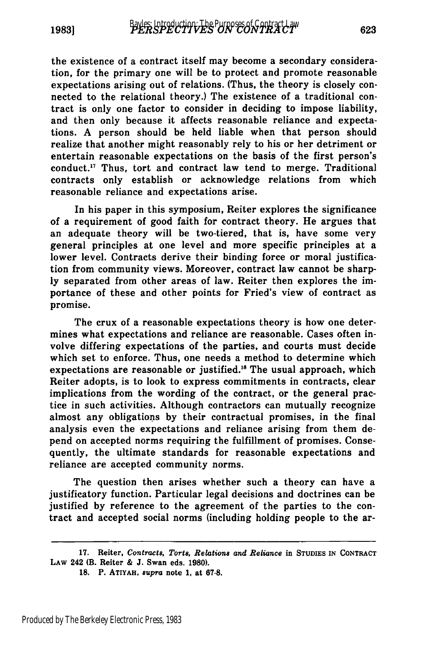the existence of a contract itself may become a secondary consideration, for the primary one will be to protect and promote reasonable expectations arising out of relations. (Thus, the theory is closely connected to the relational theory.) The existence of a traditional contract is only one factor to consider in deciding to impose liability, and then only because it affects reasonable reliance and expectations. **A** person should be held liable when that person should realize that another might reasonably rely to his or her detriment or entertain reasonable expectations on the basis of the first person's conduct.<sup>17</sup> Thus, tort and contract law tend to merge. Traditional contracts only establish or acknowledge relations from which reasonable reliance and expectations arise.

In his paper in this symposium, Reiter explores the significance of a requirement of good faith for contract theory. He argues that an adequate theory will be two-tiered, that is, have some very general principles at one level and more specific principles at a lower level. Contracts derive their binding force or moral justification from community views. Moreover, contract law cannot be sharp**ly** separated from other areas of law. Reiter then explores the importance of these and other points for Fried's view of contract as promise.

The crux of a reasonable expectations theory is how one determines what expectations and reliance are reasonable. Cases often involve differing expectations of the parties, and courts must decide which set to enforce. Thus, one needs a method to determine which expectations are reasonable or justified.<sup>18</sup> The usual approach, which Reiter adopts, is to look to express commitments in contracts, clear implications from the wording of the contract, or the general practice in such activities. Although contractors can mutually recognize almost any obligations **by** their contractual promises, in the final analysis even the expectations and reliance arising from them depend on accepted norms requiring the fulfillment of promises. Consequently, the ultimate standards for reasonable expectations and reliance are accepted community norms.

The question then arises whether such a theory can have a justificatory function. Particular legal decisions and doctrines can be justified **by** reference to the agreement of the parties to the contract and accepted social norms (including holding people to the ar-

**<sup>17.</sup>** Reiter, *Contracts, Torts, Relations and Reliance* in **STUDIES IN CONTRACT LAW** 242 (B. Reiter **& J.** Swan eds. **1980).**

**<sup>18.</sup>** P. ATIYAH, *supra* note **1,** at **67-8.**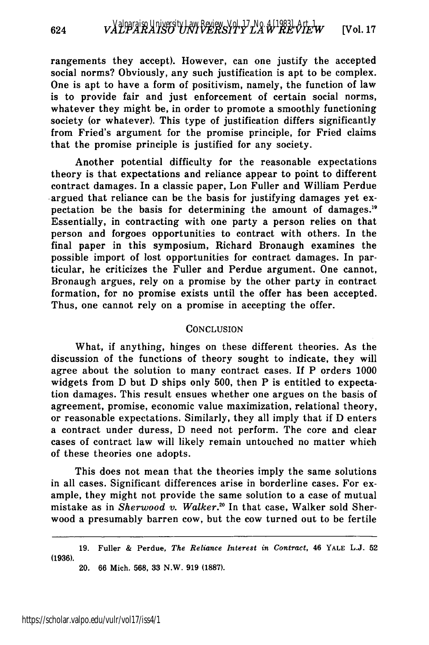rangements they accept). However, can one justify the accepted social norms? Obviously, any such justification is apt to be complex. One is apt to have a form of positivism, namely, the function of law is to provide fair and just enforcement of certain social norms, whatever they might be, in order to promote a smoothly functioning society (or whatever). This type of justification differs significantly from Fried's argument for the promise principle, for Fried claims that the promise principle is justified for any society.

Another potential difficulty for the reasonable expectations theory is that expectations and reliance appear to point to different contract damages. In a classic paper, Lon Fuller and William Perdue -argued that reliance can be the basis for justifying damages yet expectation be the basis for determining the amount of damages.'9 Essentially, in contracting with one party a person relies on that person and forgoes opportunities to contract with others. In the final paper in this symposium, Richard Bronaugh examines the possible import of lost opportunities for contract damages. In particular, he criticizes the Fuller and Perdue argument. One cannot, Bronaugh argues, rely on a promise by the other party in contract formation, for no promise exists until the offer has been accepted. Thus, one cannot rely on a promise in accepting the offer.

#### **CONCLUSION**

What, if anything, hinges on these different theories. As the discussion of the functions of theory sought to indicate, they will agree about the solution to many contract cases. If P orders 1000 widgets from D but D ships only 500, then P is entitled to expectation damages. This result ensues whether one argues on the basis of agreement, promise, economic value maximization, relational theory, or reasonable expectations. Similarly, they all imply that if D enters a contract under duress, D need not perform. The core and clear cases of contract law will likely remain untouched no matter which of these theories one adopts.

This does not mean that the theories imply the same solutions in all cases. Significant differences arise in borderline cases. For example, they might not provide the same solution to a case of mutual mistake as in *Sherwood v. Walker.'°* In that case, Walker sold Sherwood a presumably barren cow, but the cow turned out to be fertile

**<sup>19.</sup>** Fuller & Perdue, *The Reliance Interest in Contract,* 46 YALE **L.J. 52** (1936).

<sup>20. 66</sup> Mich. 568, 33 N.W. 919 (1887).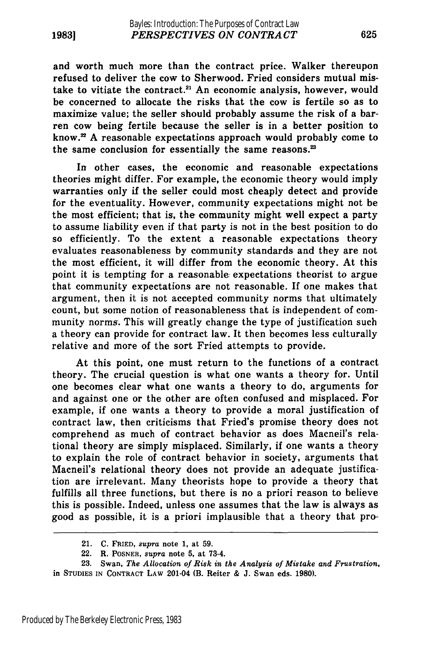and worth much more than the contract price. Walker thereupon refused to deliver the cow to Sherwood. Fried considers mutual mistake to vitiate the contract.<sup>21</sup> An economic analysis, however, would be concerned to allocate the risks that the cow is fertile so as to maximize value; the seller should probably assume the risk of a barren cow being fertile because the seller is in a better position to know. $22$  A reasonable expectations approach would probably come to the same conclusion for essentially the same reasons.<sup>23</sup>

In other cases, the economic and reasonable expectations theories might differ. For example, the economic theory would imply warranties only if the seller could most cheaply detect and provide for the eventuality. However, community expectations might not be the most efficient; that is, the community might well expect a party to assume liability even if that party is not in the best position to do so efficiently. To the extent a reasonable expectations theory evaluates reasonableness by community standards and they are not the most efficient, it will differ from the economic theory. At this point it is tempting for a reasonable expectations theorist to argue that community expectations are not reasonable. If one makes that argument, then it is not accepted community norms that ultimately count, but some notion of reasonableness that is independent of community norms. This will greatly change the type of justification such a theory can provide for contract law. It then becomes less culturally relative and more of the sort Fried attempts to provide.

At this point, one must return to the functions of a contract theory. The crucial question is what one wants a theory for. Until one becomes clear what one wants a theory to do, arguments for and against one or the other are often confused and misplaced. For example, if one wants a theory to provide a moral justification of contract law, then criticisms that Fried's promise theory does not comprehend as much of contract behavior as does Macneil's relational theory are simply misplaced. Similarly, if one wants a theory to explain the role of contract behavior in society, arguments that Macneil's relational theory does not provide an adequate justification are irrelevant. Many theorists hope to provide a theory that fulfills all three functions, but there is no a priori reason to believe this is possible. Indeed, unless one assumes that the law is always as good as possible, it is a priori implausible that a theory that pro-

<sup>21.</sup> C. FRIED, *supra* note 1, at **59.**

<sup>22.</sup> R. POSNER, *supra* note **5,** at 73-4.

**<sup>23.</sup>** Swan, *The Allocation of Risk in the Analysis of Mistake and Frustration,* in STUDIES **IN CONTRACT** LAW 201-04 (B. Reiter & J. Swan eds. 1980).